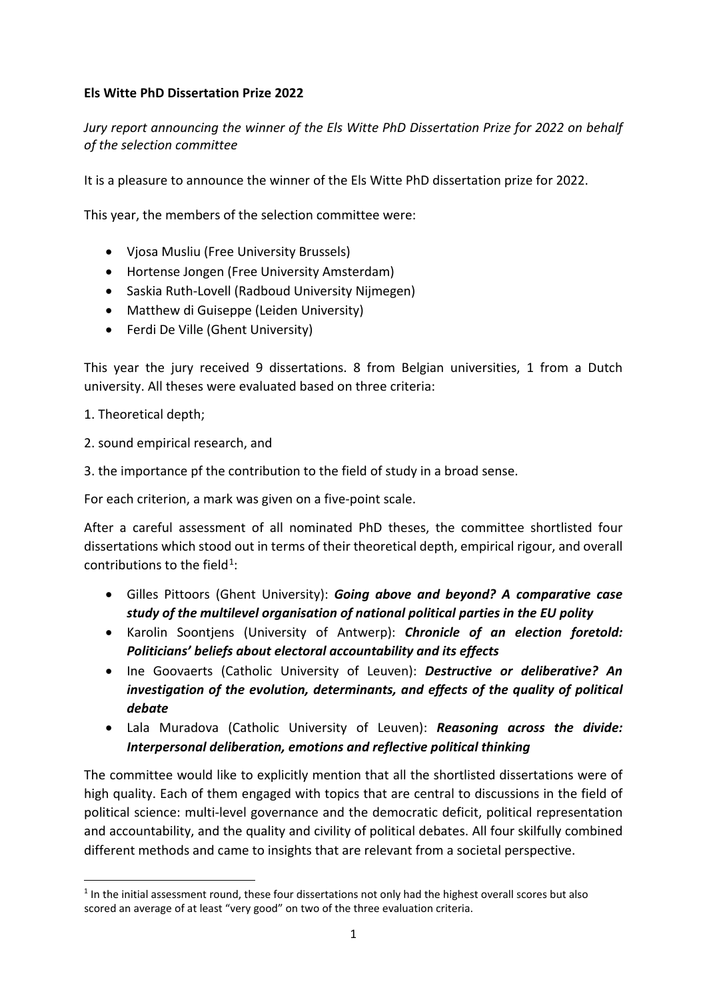## **Els Witte PhD Dissertation Prize 2022**

*Jury report announcing the winner of the Els Witte PhD Dissertation Prize for 2022 on behalf of the selection committee* 

It is a pleasure to announce the winner of the Els Witte PhD dissertation prize for 2022.

This year, the members of the selection committee were:

- Vjosa Musliu (Free University Brussels)
- Hortense Jongen (Free University Amsterdam)
- Saskia Ruth-Lovell (Radboud University Nijmegen)
- Matthew di Guiseppe (Leiden University)
- Ferdi De Ville (Ghent University)

This year the jury received 9 dissertations. 8 from Belgian universities, 1 from a Dutch university. All theses were evaluated based on three criteria:

1. Theoretical depth;

- 2. sound empirical research, and
- 3. the importance pf the contribution to the field of study in a broad sense.

For each criterion, a mark was given on a five-point scale.

After a careful assessment of all nominated PhD theses, the committee shortlisted four dissertations which stood out in terms of their theoretical depth, empirical rigour, and overall contributions to the field<sup>1</sup>:

- Gilles Pittoors (Ghent University): *Going above and beyond? A comparative case study of the multilevel organisation of national political parties in the EU polity*
- Karolin Soontjens (University of Antwerp): *Chronicle of an election foretold: Politicians' beliefs about electoral accountability and its effects*
- Ine Goovaerts (Catholic University of Leuven): *Destructive or deliberative? An investigation of the evolution, determinants, and effects of the quality of political debate*
- Lala Muradova (Catholic University of Leuven): *Reasoning across the divide: Interpersonal deliberation, emotions and reflective political thinking*

The committee would like to explicitly mention that all the shortlisted dissertations were of high quality. Each of them engaged with topics that are central to discussions in the field of political science: multi-level governance and the democratic deficit, political representation and accountability, and the quality and civility of political debates. All four skilfully combined different methods and came to insights that are relevant from a societal perspective.

<span id="page-0-0"></span><sup>&</sup>lt;sup>1</sup> In the initial assessment round, these four dissertations not only had the highest overall scores but also scored an average of at least "very good" on two of the three evaluation criteria.